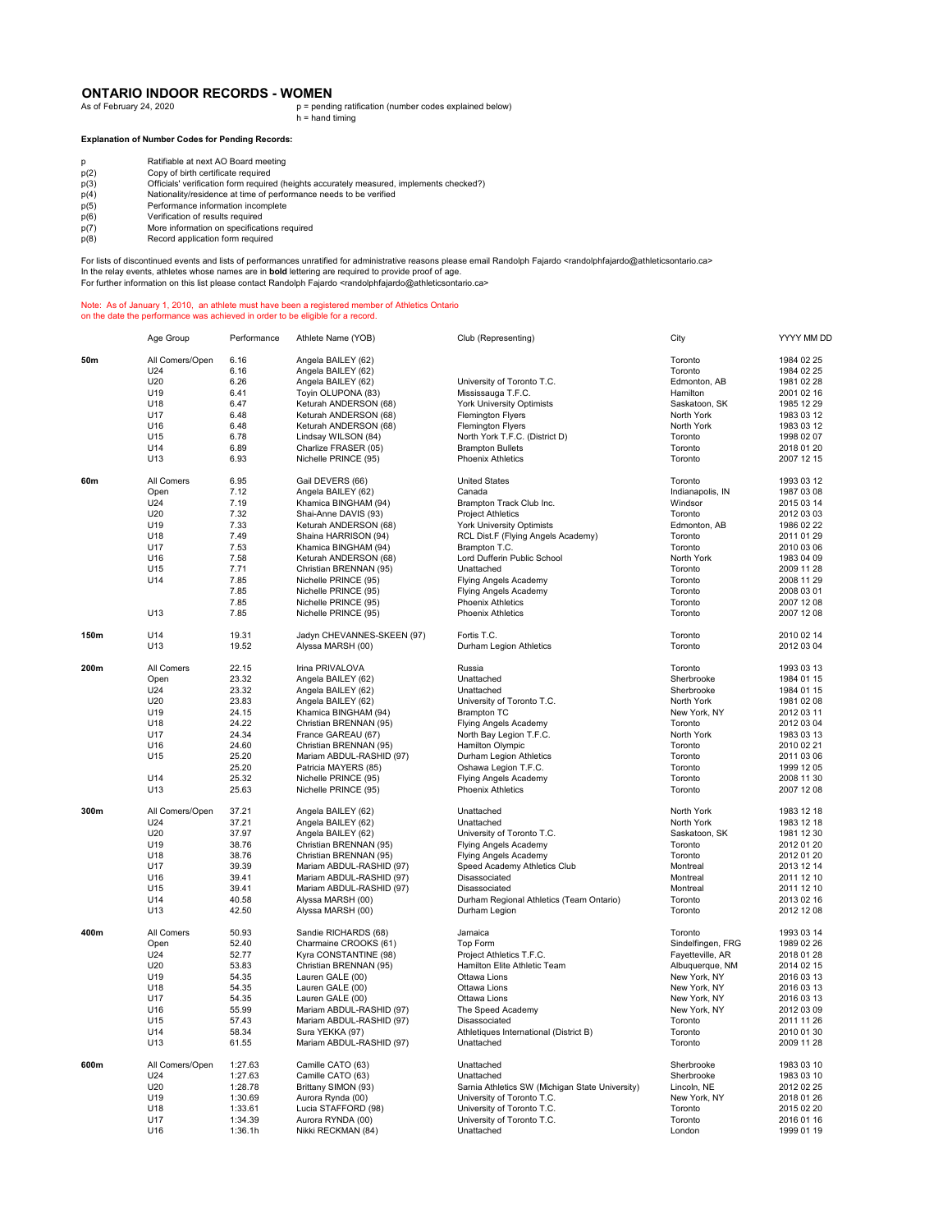## **ONTARIO INDOOR RECORDS - WOMEN**<br>As of February 24, 2020

p = pending ratification (number codes explained below) h = hand timing

**Explanation of Number Codes for Pending Records:**

| Ratifiable at next AO Board meetin |  |
|------------------------------------|--|

- p Ratifiable at next AO Board meeting p(2) Copy of birth certificate required
- p(3) Officials' verification form required (heights accurately measured, implements checked?)<br>
p(4) Nationality/residence at time of performance needs to be verified<br>
p(5) Performance information incomplete Nationality/residence at time of performance needs to be verified
- 
- p(5) Performance information incomplete<br>p(6) Verification of results required
- $p(6)$  Verification of results required<br> $p(7)$  More information on specificati
- p(7) More information on specifications required p(8) Record application form required

For lists of discontinued events and lists of performances unratified for administrative reasons please email Randolph Fajardo <randolphfajardo@athleticsontario.ca> In the relay events, athletes whose names are in **bold** lettering are required to provide proof of age.

For further information on this list please contact Randolph Fajardo <randolphfajardo@athleticsontario.ca>

## Note: As of January 1, 2010, an athlete must have been a registered member of Athletics Ontario on the date the performance was achieved in order to be eligible for a record.

Age Group Performance Athlete Name (YOB) Club (Representing) City YYYY MM DD **50m** All Comers/Open 6.16 Angela BAILEY (62) Angela BAILEY (62) And the set of the set of the set of the set of the set of the set of the set of the set of the set of the set of the set of the set of the set of the set of U24 6.16 Angela BAILEY (62) Toronto 1984 02 25 U20 6.26 Angela BAILEY (62) University of Toronto T.C. Changela BAILEY (62) University of Toronto T.C. Edmonton, AB 1981 02 28<br>U19 6.41 Toyin OLUPONA (83) Mississauga T.F.C. Hamilton 2001 02 16 U19 6.41 Toyin OLUPONA (83) Mississauga T.F.C. Hamilton 2001 02 16 U18 6.47 Keturah ANDERSON (68) York University Optimists Saskatoon, SK 1985 12 29 U17 6.48 Keturah ANDERSON (68) Flemington Flyers North York 1983 03 12<br>U16 6.48 Keturah ANDERSON (68) Flemington Flyers North York 1983 03 12 U16 6.48 Keturah ANDERSON (68) Flemington Flyers North York 1983 03 12 U15 6.78 Lindsay WILSON (84) North York T.F.C. (District D) Toronto 1998 02 07 U14 6.89 Charlize FRASER (05) Charlize FRASER (05) Charlize FRASER (05) Brampton Bullets Charlize FRASER (05) Charlize FRASER (05) Brampton Bullets Toronto 2018 01 20<br>
U13 6.93 Nichelle PRINCE (95) Phoenix Athletics Phoeni Nichelle PRINCE (95) **60m** All Comers 6.95 Gail DEVERS (66) United States Comercial Component Component Component 1993 03 12 Open 1987 - 2008 - 2008 - 2008 - 2009 - 2009 - 2009 - 2009 - 2009 - 2009 - 2009 - 2009 - 2009 - 2009 - 2009 -<br>Open 1987 03 08 - 2015 03 08 - 2015 03 08 - 2015 03 14 1987 03 08 - 2015 03 14 1987 03 08<br>U24 - 2015 03 14 - 20 U24 7.19 Figure 2012 OS 2012 03 14 The Magnus Communica BINGHAM (94) Brampton Track Club Inc. Windsor 2015 03 14<br>U20 7.32 Shai-Anne DAVIS (93) Project Athletics Toronto 2012 03 03 03 14 U20 1203 7.32 Shai-Anne DAVIS (93) Project Athletics (2012) 71 7 Toronto 2012 03:03<br>U19 7.33 Keturah ANDERSON (68) York University Optimists (Edmonton, AB 1986 02:22 U19 7.33 Keturah ANDERSON (68) York University Optimists Companies Edmonton, AB 1986 02 22<br>U18 7.49 Shaina HARRISON (94) RCL Dist. F (Fiving Angels Academy) Toronto 2011 01 29 U18 7.49 Shaina HARRISON (94) RCL Dist.F (Flying Angels Academy) Toronto 2011 01 29 U17 7.53 Khamica BINGHAM (94) Brampton T.C. Toronto 2010 03 06 U16 7.58 Keturah ANDERSON (68) Lord Dufferin Public School (1982) North York 1983 04 09<br>1115 7.71 Christian RRENNAN (95) Lord Dufferin Public School (1982) North York 1983 04 09<br>1115 7.71 Christian RRENNAN (95) Lord Duffer U15 7.71 Christian BRENNAN (95) Unattached Toronto 2009 11 28 U14 7.85 Nichelle PRINCE (95) Flying Angels Academy Toronto 2008 11.29<br>
7.85 Nichelle PRINCE (95) Flying Angels Academy Toronto 2008 01 2908 03.01 7.85 Nichelle PRINCE (95) Flying Angels Academy Toronto 2008 03 01<br>7.85 Nichelle PRINCE (95) Phoenix Athletics Phoenix Athletics Toronto 2007 12.08 7.85 Nichelle PRINCE (95) Phoenix Athletics Toronto 2007 12 08 U13 7.85 Nichelle PRINCE (95) Phoenix Athletics Toronto 2007 12 08 **150m** U14 19.31 Jadyn CHEVANNES-SKEEN (97) Fortis T.C. Toronto 2010 02 14<br>U13 19.52 Alyssa MARSH (00) Durham Legion Athletics 2012 03 04 2012 03 04 Ponto 115.<br>Durham Legion Athletics **200m** All Comers 22.15 Irina PRIVALOVA Russia Toronto 1993 03 13 Open 23.32 Angela BAILEY (62) Unattached Sherbrooke 1984 01 15<br>U24 23.32 Angela BAILEY (62) Unattached Sherbrooke 1984 01 15 U24 23.32 Angela BAILEY (62) 23.32 Angela BAILEY (62)<br>Unattached Sherbrooke 1984 01 15<br>U20 23.83 Angela BAILEY (62) University of Toronto T.C. North York 1981 02 08 U20 23.83 Angela BAILEY (62) University of Toronto T.C. North York 1981 02 08<br>1981 02 08 Angela BAILEY (62) University of Toronto T.C. New York NY 2012 03.11 U19 24.15 Khamica BINGHAM (94) Brampton TC New York, NY 2012 03 11 U18 21.22 Christian BRENNAN (95) Elying Angels Academy Control Concilium Control 2012 03.04<br>U17 24.34 France GAREAU (67) North Bay Legion T.F.C. North York 1983 03.13 U17 24.34 France GAREAU (67) North Bay Legion T.F.C. North York 1983 03 13<br>U16 24.60 Christian BRENNAN (95) Hamilton Olympic North Bay Toronto 100mold U16 24.60 Christian BRENNAN (95) Hamilton Olympic Toronto 2010 02 21 U15 25.20 Mariam ABDUL-RASHID (97) Durham Legion Athletics Toronto 2011 03 06<br>25.20 Mariam ABDUL-RASHID (97) Durham Legion Athletics Toronto 2011 03 06<br>25.20 Patricia MAYERS (85) Oshawa Legion T.F.C. Toronto 1999 12 05 25.20 Patricia MAYERS (85) (25.20 Patricia MAYERS (85) (25.32 Patricia MAYERS (85) 2006 11:30<br>25.32 Nichelle PRINCE (95) Fiving Angels Academy (2008 11:30 Toronto 2008 11:30 U14 25.32 Nichelle PRINCE (95) Flying Angels Academy Toronto 2008 11 30<br>
U13 25.63 Nichelle PRINCE (95) Phoenix Athletics Procent Actor Toronto 2007 12.08 U13 25.63 Nichelle PRINCE (95) Phoenix Athletics Phoenix Athletics 25.63 Norman Promoto **300m** All Comers/Open 37.21 Angela BAILEY (62) Unattached North York 1983 12 18 U24 37.21 Angela BAILEY (62) Unattached North York 1983 12 18 U20 37.97 Angela BAILEY (62) University of Toronto T.C. Saskatoon, SK 1981 12 30<br>University of Toronto T.C. Saskatoon, SK 1981 12 30<br>U19 38.76 Christian BRENNAN (95) Flying Angels Academy Toronto Toronto 2012 01 20 9 38.76 Christian BRENNAN (95) Flying Angels Academy Toronto 2012 01 20<br>19.76 Christian BRENNAN (95) Flying Angels Academy Toronto 2012 01 20 U18 38.76 Christian BRENNAN (95) Christian BRENNAN (95) Christian BRENNAN (95) Christian BRENNAN (95) Christian BRENNAN (95) Christian BRENNAN (95) Christian BRENNAN (95) Christian BRENNAN (95) Christian BRENNAN (97) Chris U17 39.39 Mariam ABDUL-RASHID (97) Speed Academy Athletics Club Montreal 2013 12 14 U16 39.41 Mariam ABDUL-RASHID (97) Disassociated Montreal 2011 12 10 U15 39.41 Mariam ABDUL-RASHID (97) Disassociated Montreal 2011 12 10 U14 40.58 Alyssa MARSH (00) Durham Regional Athletics (Team Ontario) Toronto 2013 02 16 U13 42.50 Alyssa MARSH (00) Durham Legion Toronto 2012 12 08 errent All Comers to the Sandie RICHARDS (68) and the Jamaica the Sandie All Comercial Comercial Comercial Comer<br>1993/92/26 Top-mand Charmaine CROOKS (61) Top Form the Single Comercial Comercial Comercial Comercial Comerci Open 52.40 Charmaine CROOKS (61) Top Form Sindelfingen, FRG 1989 02 26 U24 52.77 Kyra CONSTANTINE (98) Project Athletics T.F.C. Fayetteville, AR 2018 01 28<br>U20 53.83 Christian BRENNAN (95) Hamilton Elite Athletic Team Albuquerque, NM 2014 02 15 U20 53.83 Christian BRENNAN (95) Christian BRENNAN (95) Christian BRENNAN (95) Christian BRENNAN (95) Christian BRENNAN (95) Christian BRENNAN (95) Christian BRENNAN (95) Christian BRENNAN (95) Christian BRENNAN (95) Chris U19 54.35 Lauren GALE (00) Ottawa Lions New York, NY 2016 03 13 U18 54.35 Lauren GALE (00) Ottawa Lions New York, NY 2016 03 13 Van 17 1918 135 Lauren GALE (00) Chawa Lions (1998) Ditawa Lions (1998) New York, NY 2016 03 13<br>1991 16 19 July 2012 03 Mariam ABDUL-RASHID (97) The Speed Academy (1998) New York, NY 2012 03 09 U16 55.99 Mariam ABDUL-RASHID (97) The Speed Academy New York, NY 2012 03 09 U15 57.43 Mariam ABDUL-RASHID (97) Disassociated Toronto 2011 11 26 U14 58.34 Sura YEKKA (97) Athletiques International (District B) Toronto 2010 01 30<br>U13 61.55 Mariam ABDUL-RASHID (97) Unattached U13 Toronto 2009 11.28 Unia Merka (97)<br>Sura YEKKA (97)<br>Mariam ABDUL-RASHID (97) **600m** All Comers/Open 1:27.63 Camille CATO (63) Unattached Sherbrooke Sherbrooke 1983 03 10 U24 1:27.63 Camille CATO (63) Unattached U24 Sherbrooke 1:27.63 Camille CATO (63)<br>U20 1:28.78 Brittany SIMON (93) Samia Athletics SW (Michigan State University) Lincoln, NE 2012 02 25 U20 1:28.78 Brittany SIMON (93) Sarnia Athletics SW (Michigan State University) Lincoln, NE 2012 02 25<br>U19 1:30.69 Aurora Rynda (00) University of Toronto T.C. New York, NY 2018 01 26 U19 1:30.69 Aurora Rynda (00) University of Toronto T.C. New York, NY 2018 01 26<br>U18 1:33.61 Lucia STAFFORD (98) University of Toronto T.C. 2015 02 20 U18 1:33.61 Lucia STAFFORD (98) University of Toronto T.C. Toronto 2015 02 20 1:34.39 Aurora RYNDA (00) University of Toronto T.C.<br>1:36.1h Nikki RECKMAN (84) Unattached U16 1:36.1h Nikki RECKMAN (84) Unattached London 1999 01 19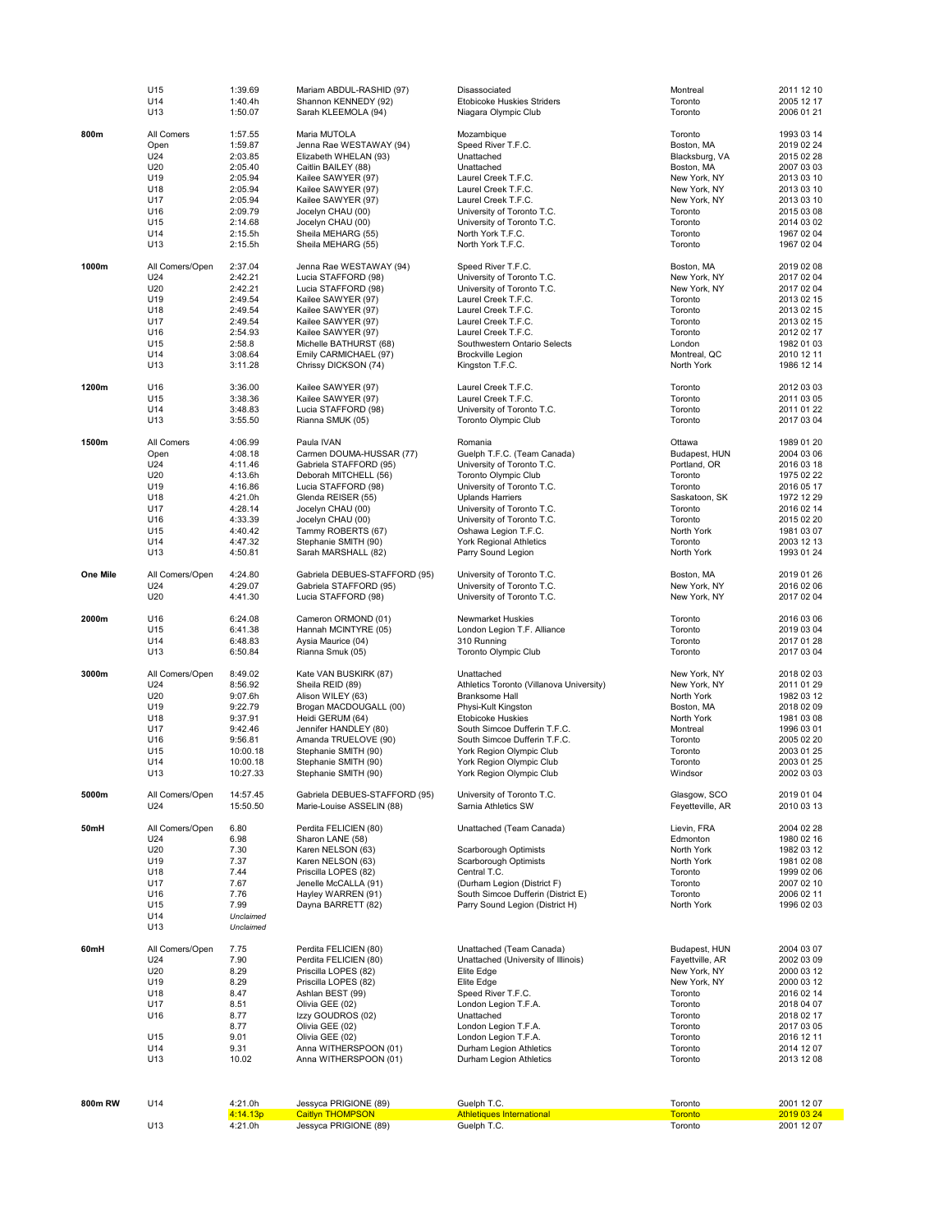|          | U15             | 1:39.69            | Mariam ABDUL-RASHID (97)                      | Disassociated                                                         | Montreal                        | 2011 12 10               |
|----------|-----------------|--------------------|-----------------------------------------------|-----------------------------------------------------------------------|---------------------------------|--------------------------|
|          | U14<br>U13      | 1:40.4h<br>1:50.07 | Shannon KENNEDY (92)<br>Sarah KLEEMOLA (94)   | <b>Etobicoke Huskies Striders</b><br>Niagara Olympic Club             | Toronto<br>Toronto              | 2005 12 17<br>2006 01 21 |
|          |                 |                    |                                               |                                                                       |                                 |                          |
| 800m     | All Comers      | 1:57.55            | Maria MUTOLA                                  | Mozambique                                                            | Toronto                         | 1993 03 14               |
|          | Open            | 1:59.87            | Jenna Rae WESTAWAY (94)                       | Speed River T.F.C.                                                    | Boston, MA                      | 2019 02 24               |
|          | U24             | 2:03.85            | Elizabeth WHELAN (93)                         | Unattached                                                            | Blacksburg, VA                  | 2015 02 28               |
|          | U20<br>U19      | 2:05.40<br>2:05.94 | Caitlin BAILEY (88)<br>Kailee SAWYER (97)     | Unattached<br>Laurel Creek T.F.C.                                     | Boston, MA<br>New York, NY      | 2007 03 03<br>2013 03 10 |
|          | U18             | 2:05.94            | Kailee SAWYER (97)                            | Laurel Creek T.F.C.                                                   | New York, NY                    | 2013 03 10               |
|          | U17             | 2:05.94            | Kailee SAWYER (97)                            | Laurel Creek T.F.C.                                                   | New York, NY                    | 2013 03 10               |
|          | U16             | 2:09.79            | Jocelyn CHAU (00)                             | University of Toronto T.C.                                            | Toronto                         | 2015 03 08               |
|          | U15             | 2:14.68            | Jocelyn CHAU (00)                             | University of Toronto T.C.                                            | Toronto                         | 2014 03 02               |
|          | U14             | 2:15.5h            | Sheila MEHARG (55)                            | North York T.F.C.                                                     | Toronto                         | 1967 02 04               |
|          | U13             | 2:15.5h            | Sheila MEHARG (55)                            | North York T.F.C.                                                     | Toronto                         | 1967 02 04               |
| 1000m    | All Comers/Open | 2:37.04            | Jenna Rae WESTAWAY (94)                       | Speed River T.F.C.                                                    | Boston, MA                      | 2019 02 08               |
|          | U24             | 2:42.21            | Lucia STAFFORD (98)                           | University of Toronto T.C.                                            | New York, NY                    | 2017 02 04               |
|          | U20             | 2:42.21            | Lucia STAFFORD (98)                           | University of Toronto T.C.                                            | New York, NY                    | 2017 02 04               |
|          | U19             | 2:49.54            | Kailee SAWYER (97)                            | Laurel Creek T.F.C.                                                   | Toronto                         | 2013 02 15               |
|          | U18<br>U17      | 2:49.54<br>2:49.54 | Kailee SAWYER (97)<br>Kailee SAWYER (97)      | Laurel Creek T.F.C.<br>Laurel Creek T.F.C.                            | Toronto<br>Toronto              | 2013 02 15<br>2013 02 15 |
|          | U16             | 2:54.93            | Kailee SAWYER (97)                            | Laurel Creek T.F.C.                                                   | Toronto                         | 2012 02 17               |
|          | U15             | 2:58.8             | Michelle BATHURST (68)                        | Southwestern Ontario Selects                                          | London                          | 1982 01 03               |
|          | U14             | 3:08.64            | Emily CARMICHAEL (97)                         | <b>Brockville Legion</b>                                              | Montreal, QC                    | 2010 12 11               |
|          | U13             | 3:11.28            | Chrissy DICKSON (74)                          | Kingston T.F.C.                                                       | North York                      | 1986 12 14               |
| 1200m    | U16             | 3:36.00            | Kailee SAWYER (97)                            | Laurel Creek T.F.C.                                                   | Toronto                         | 2012 03 03               |
|          | U15             | 3:38.36            | Kailee SAWYER (97)                            | Laurel Creek T.F.C.                                                   | Toronto                         | 2011 03 05               |
|          | U14             | 3:48.83            | Lucia STAFFORD (98)                           | University of Toronto T.C.                                            | Toronto                         | 2011 01 22               |
|          | U13             | 3:55.50            | Rianna SMUK (05)                              | <b>Toronto Olympic Club</b>                                           | Toronto                         | 2017 03 04               |
| 1500m    | All Comers      | 4:06.99            | Paula IVAN                                    | Romania                                                               | Ottawa                          | 1989 01 20               |
|          | Open            | 4:08.18            | Carmen DOUMA-HUSSAR (77)                      | Guelph T.F.C. (Team Canada)                                           | Budapest, HUN                   | 2004 03 06               |
|          | U24             | 4:11.46            | Gabriela STAFFORD (95)                        | University of Toronto T.C.                                            | Portland, OR                    | 2016 03 18               |
|          | U20             | 4:13.6h            | Deborah MITCHELL (56)                         | <b>Toronto Olympic Club</b>                                           | Toronto                         | 1975 02 22               |
|          | U19             | 4:16.86            | Lucia STAFFORD (98)                           | University of Toronto T.C.                                            | Toronto                         | 2016 05 17               |
|          | U18             | 4:21.0h<br>4:28.14 | Glenda REISER (55)                            | <b>Uplands Harriers</b>                                               | Saskatoon, SK<br>Toronto        | 1972 12 29<br>2016 02 14 |
|          | U17<br>U16      | 4:33.39            | Jocelyn CHAU (00)<br>Jocelyn CHAU (00)        | University of Toronto T.C.<br>University of Toronto T.C.              | Toronto                         | 2015 02 20               |
|          | U15             | 4:40.42            | Tammy ROBERTS (67)                            | Oshawa Legion T.F.C.                                                  | North York                      | 1981 03 07               |
|          | U14             | 4:47.32            | Stephanie SMITH (90)                          | <b>York Regional Athletics</b>                                        | Toronto                         | 2003 12 13               |
|          | U13             | 4:50.81            | Sarah MARSHALL (82)                           | Parry Sound Legion                                                    | North York                      | 1993 01 24               |
| One Mile | All Comers/Open | 4:24.80            | Gabriela DEBUES-STAFFORD (95)                 | University of Toronto T.C.                                            | Boston, MA                      | 2019 01 26               |
|          | U24             | 4:29.07            | Gabriela STAFFORD (95)                        | University of Toronto T.C.                                            | New York, NY                    | 2016 02 06               |
|          | U20             | 4:41.30            | Lucia STAFFORD (98)                           | University of Toronto T.C.                                            | New York, NY                    | 2017 02 04               |
|          |                 |                    |                                               |                                                                       |                                 |                          |
| 2000m    | U16             | 6:24.08            | Cameron ORMOND (01)                           | Newmarket Huskies                                                     | Toronto                         | 2016 03 06               |
|          | U15<br>U14      | 6:41.38<br>6:48.83 | Hannah MCINTYRE (05)<br>Aysia Maurice (04)    | London Legion T.F. Alliance<br>310 Running                            | Toronto<br>Toronto              | 2019 03 04<br>2017 01 28 |
|          | U13             | 6:50.84            | Rianna Smuk (05)                              | <b>Toronto Olympic Club</b>                                           | Toronto                         | 2017 03 04               |
|          |                 |                    |                                               |                                                                       |                                 |                          |
| 3000m    | All Comers/Open | 8:49.02            | Kate VAN BUSKIRK (87)                         | Unattached                                                            | New York, NY                    | 2018 02 03               |
|          | U24             | 8:56.92            | Sheila REID (89)                              | Athletics Toronto (Villanova University)                              | New York, NY                    | 2011 01 29               |
|          | U20<br>U19      | 9:07.6h<br>9:22.79 | Alison WILEY (63)<br>Brogan MACDOUGALL (00)   | <b>Branksome Hall</b><br>Physi-Kult Kingston                          | North York<br>Boston, MA        | 1982 03 12<br>2018 02 09 |
|          | U18             | 9:37.91            | Heidi GERUM (64)                              | <b>Etobicoke Huskies</b>                                              | North York                      | 1981 03 08               |
|          | U17             | 9:42.46            | Jennifer HANDLEY (80)                         | South Simcoe Dufferin T.F.C.                                          | Montreal                        | 1996 03 01               |
|          | U16             | 9:56.81            | Amanda TRUELOVE (90)                          | South Simcoe Dufferin T.F.C.                                          | Toronto                         | 2005 02 20               |
|          | U15             | 10:00.18           | Stephanie SMITH (90)                          | York Region Olympic Club                                              | Toronto                         | 2003 01 25               |
|          | U14             | 10:00.18           | Stephanie SMITH (90)                          | York Region Olympic Club                                              | Toronto                         | 2003 01 25               |
|          | U13             | 10:27.33           | Stephanie SMITH (90)                          | York Region Olympic Club                                              | Windsor                         | 2002 03 03               |
| 5000m    | All Comers/Open | 14:57.45           | Gabriela DEBUES-STAFFORD (95)                 | University of Toronto T.C.                                            | Glasgow, SCO                    | 2019 01 04               |
|          | U24             | 15:50.50           | Marie-Louise ASSELIN (88)                     | Sarnia Athletics SW                                                   | Feyetteville, AR                | 2010 03 13               |
| 50mH     | All Comers/Open | 6.80               | Perdita FELICIEN (80)                         | Unattached (Team Canada)                                              | Lievin, FRA                     | 2004 02 28               |
|          | U24             | 6.98               | Sharon LANE (58)                              |                                                                       | Edmonton                        | 1980 02 16               |
|          | U20             | 7.30               | Karen NELSON (63)                             | Scarborough Optimists                                                 | North York                      | 1982 03 12               |
|          | U19             | 7.37               | Karen NELSON (63)                             | Scarborough Optimists                                                 | North York                      | 1981 02 08               |
|          | U18             | 7.44               | Priscilla LOPES (82)                          | Central T.C.                                                          | Toronto                         | 1999 02 06               |
|          | U17             | 7.67               | Jenelle McCALLA (91)                          | (Durham Legion (District F)                                           | Toronto                         | 2007 02 10               |
|          | U16<br>U15      | 7.76<br>7.99       | Hayley WARREN (91)<br>Dayna BARRETT (82)      | South Simcoe Dufferin (District E)<br>Parry Sound Legion (District H) | Toronto<br>North York           | 2006 02 11<br>1996 02 03 |
|          | U14             | Unclaimed          |                                               |                                                                       |                                 |                          |
|          | U13             | Unclaimed          |                                               |                                                                       |                                 |                          |
|          |                 |                    |                                               |                                                                       |                                 |                          |
| 60mH     | All Comers/Open | 7.75<br>7.90       | Perdita FELICIEN (80)                         | Unattached (Team Canada)<br>Unattached (University of Illinois)       | Budapest, HUN                   | 2004 03 07<br>2002 03 09 |
|          | U24<br>U20      | 8.29               | Perdita FELICIEN (80)<br>Priscilla LOPES (82) | Elite Edge                                                            | Fayettville, AR<br>New York, NY | 2000 03 12               |
|          | U19             | 8.29               | Priscilla LOPES (82)                          | Elite Edge                                                            | New York, NY                    | 2000 03 12               |
|          | U18             | 8.47               | Ashlan BEST (99)                              | Speed River T.F.C.                                                    | Toronto                         | 2016 02 14               |
|          | U17             | 8.51               | Olivia GEE (02)                               | London Legion T.F.A.                                                  | Toronto                         | 2018 04 07               |
|          | U16             | 8.77               | Izzy GOUDROS (02)                             | Unattached                                                            | Toronto                         | 2018 02 17               |
|          | U15             | 8.77<br>9.01       | Olivia GEE (02)                               | London Legion T.F.A.<br>London Legion T.F.A.                          | Toronto<br>Toronto              | 2017 03 05               |
|          | U14             | 9.31               | Olivia GEE (02)<br>Anna WITHERSPOON (01)      | Durham Legion Athletics                                               | Toronto                         | 2016 12 11<br>2014 12 07 |
|          | U13             | 10.02              | Anna WITHERSPOON (01)                         | Durham Legion Athletics                                               | Toronto                         | 2013 12 08               |
|          |                 |                    |                                               |                                                                       |                                 |                          |
|          |                 |                    |                                               |                                                                       |                                 |                          |
| 800m RW  | U14             | 4:21.0h            | Jessyca PRIGIONE (89)                         | Guelph T.C.                                                           | Toronto                         | 2001 12 07               |
|          |                 | 4:14.13p           | <b>Caitlyn THOMPSON</b>                       | <b>Athletiques International</b>                                      | <b>Toronto</b>                  | 2019 03 24               |
|          | U13             | 4:21.0h            | Jessyca PRIGIONE (89)                         | Guelph T.C.                                                           | Toronto                         | 2001 12 07               |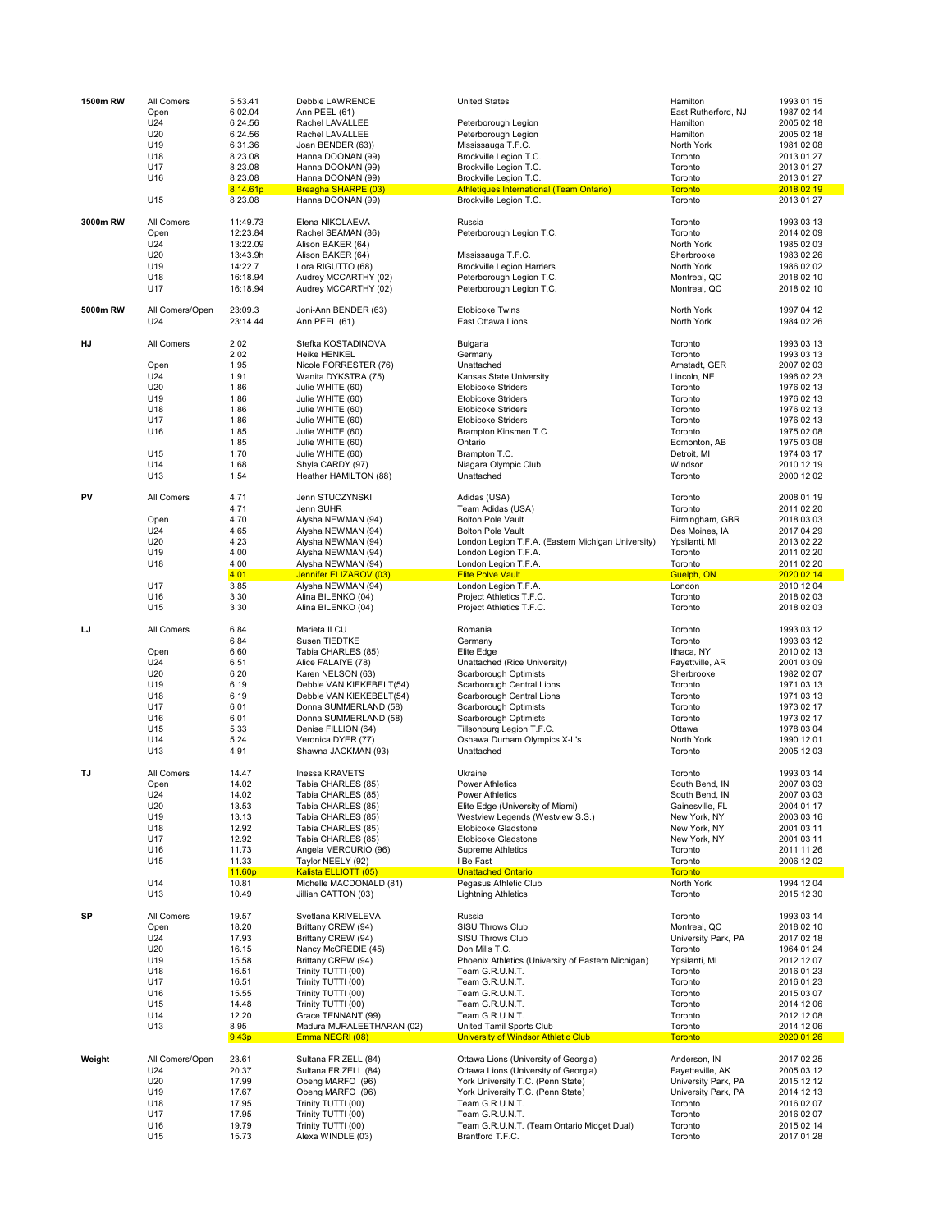| 1500m RW | All Comers      | 5:53.41              | Debbie LAWRENCE                                | <b>United States</b>                                                   | Hamilton                     | 1993 01 15               |
|----------|-----------------|----------------------|------------------------------------------------|------------------------------------------------------------------------|------------------------------|--------------------------|
|          | Open            | 6:02.04              | Ann PEEL (61)                                  |                                                                        | East Rutherford, NJ          | 1987 02 14               |
|          | U24             | 6:24.56              | Rachel LAVALLEE                                | Peterborough Legion                                                    | Hamilton                     | 2005 02 18               |
|          | U20             | 6:24.56              | Rachel LAVALLEE                                | Peterborough Legion                                                    | Hamilton                     | 2005 02 18               |
|          | U19             | 6:31.36              | Joan BENDER (63))                              | Mississauga T.F.C.                                                     | North York                   | 1981 02 08               |
|          | U18             | 8:23.08              | Hanna DOONAN (99)                              | Brockville Legion T.C.                                                 | Toronto                      | 2013 01 27               |
|          | U17             | 8:23.08              | Hanna DOONAN (99)                              | Brockville Legion T.C.                                                 | Toronto                      | 2013 01 27               |
|          | U16             | 8:23.08              | Hanna DOONAN (99)                              | Brockville Legion T.C.                                                 | Toronto                      | 2013 01 27               |
|          |                 | 8:14.61p             | Breagha SHARPE (03)                            | <b>Athletiques International (Team Ontario)</b>                        | <b>Toronto</b>               | 2018 02 19               |
|          | U15             | 8:23.08              | Hanna DOONAN (99)                              | Brockville Legion T.C.                                                 | Toronto                      | 2013 01 27               |
| 3000m RW | All Comers      | 11:49.73             | Elena NIKOLAEVA                                | Russia                                                                 | Toronto                      | 1993 03 13               |
|          | Open            | 12:23.84             | Rachel SEAMAN (86)                             | Peterborough Legion T.C.                                               | Toronto                      | 2014 02 09               |
|          | U24             | 13:22.09             | Alison BAKER (64)                              |                                                                        | North York                   | 1985 02 03               |
|          | U20             | 13:43.9h             | Alison BAKER (64)                              | Mississauga T.F.C.                                                     | Sherbrooke                   | 1983 02 26               |
|          | U19             | 14:22.7              | Lora RIGUTTO (68)                              | <b>Brockville Legion Harriers</b>                                      | North York                   | 1986 02 02               |
|          | U18<br>U17      | 16:18.94<br>16:18.94 | Audrey MCCARTHY (02)<br>Audrey MCCARTHY (02)   | Peterborough Legion T.C.<br>Peterborough Legion T.C.                   | Montreal, QC<br>Montreal, QC | 2018 02 10<br>2018 02 10 |
| 5000m RW | All Comers/Open | 23:09.3              | Joni-Ann BENDER (63)                           | <b>Etobicoke Twins</b>                                                 | North York                   | 1997 04 12               |
|          | U24             | 23:14.44             | Ann PEEL (61)                                  | East Ottawa Lions                                                      | North York                   | 1984 02 26               |
| HJ       | All Comers      | 2.02<br>2.02         | Stefka KOSTADINOVA                             | Bulgaria                                                               | Toronto<br>Toronto           | 1993 03 13               |
|          |                 | 1.95                 | <b>Heike HENKEL</b>                            | Germany                                                                | Arnstadt, GER                | 1993 03 13<br>2007 02 03 |
|          | Open            |                      | Nicole FORRESTER (76)                          | Unattached                                                             |                              |                          |
|          | U24             | 1.91                 | Wanita DYKSTRA (75)                            | Kansas State University                                                | Lincoln, NE                  | 1996 02 23               |
|          | U20             | 1.86                 | Julie WHITE (60)                               | <b>Etobicoke Striders</b>                                              | Toronto                      | 1976 02 13               |
|          | U19             | 1.86                 | Julie WHITE (60)                               | <b>Etobicoke Striders</b>                                              | Toronto                      | 1976 02 13               |
|          | U18             | 1.86                 | Julie WHITE (60)                               | <b>Etobicoke Striders</b>                                              | Toronto                      | 1976 02 13               |
|          | U17             | 1.86                 | Julie WHITE (60)                               | <b>Etobicoke Striders</b>                                              | Toronto                      | 1976 02 13               |
|          | U16             | 1.85                 | Julie WHITE (60)                               | Brampton Kinsmen T.C.                                                  | Toronto                      | 1975 02 08               |
|          |                 | 1.85                 | Julie WHITE (60)                               | Ontario                                                                | Edmonton, AB                 | 1975 03 08               |
|          | U15             | 1.70                 | Julie WHITE (60)                               | Brampton T.C.                                                          | Detroit, MI                  | 1974 03 17               |
|          | U14             | 1.68                 | Shyla CARDY (97)                               | Niagara Olympic Club                                                   | Windsor                      | 2010 12 19               |
|          | U13             | 1.54                 | Heather HAMILTON (88)                          | Unattached                                                             | Toronto                      | 2000 12 02               |
| PV       | All Comers      | 4.71                 | Jenn STUCZYNSKI                                | Adidas (USA)                                                           | Toronto                      | 2008 01 19               |
|          |                 | 4.71                 | Jenn SUHR                                      | Team Adidas (USA)                                                      | Toronto                      | 2011 02 20               |
|          | Open            | 4.70                 | Alysha NEWMAN (94)                             | <b>Bolton Pole Vault</b>                                               | Birmingham, GBR              | 2018 03 03               |
|          | U24             | 4.65                 | Alysha NEWMAN (94)                             | <b>Bolton Pole Vault</b>                                               | Des Moines, IA               | 2017 04 29               |
|          | U20             | 4.23                 | Alysha NEWMAN (94)                             | London Legion T.F.A. (Eastern Michigan University)                     | Ypsilanti, MI                | 2013 02 22               |
|          | U19             | 4.00                 | Alysha NEWMAN (94)                             | London Legion T.F.A.                                                   | Toronto                      | 2011 02 20               |
|          | U18             | 4.00                 | Alysha NEWMAN (94)                             | London Legion T.F.A.                                                   | Toronto                      | 2011 02 20               |
|          |                 | 4.01                 | Jennifer ELIZAROV (03)                         | <b>Elite Polve Vault</b>                                               | Guelph, ON                   | 2020 02 14               |
|          | U17             | 3.85                 | Alysha NEWMAN (94)                             | London Legion T.F.A.                                                   | London                       | 2010 12 04               |
|          | U16<br>U15      | 3.30<br>3.30         | Alina BILENKO (04)                             | Project Athletics T.F.C.                                               | Toronto<br>Toronto           | 2018 02 03<br>2018 02 03 |
|          |                 |                      | Alina BILENKO (04)                             | Project Athletics T.F.C.                                               |                              |                          |
| IJ       | All Comers      | 6.84                 | Marieta ILCU                                   | Romania                                                                | Toronto                      | 1993 03 12               |
|          |                 | 6.84                 | Susen TIEDTKE                                  | Germany                                                                | Toronto                      | 1993 03 12               |
|          | Open            | 6.60                 | Tabia CHARLES (85)                             | Elite Edge                                                             | Ithaca, NY                   | 2010 02 13               |
|          | U24             | 6.51                 | Alice FALAIYE (78)                             | Unattached (Rice University)                                           | Fayettville, AR              | 2001 03 09               |
|          | U20             | 6.20                 | Karen NELSON (63)                              | Scarborough Optimists                                                  | Sherbrooke                   | 1982 02 07               |
|          | U19             | 6.19                 | Debbie VAN KIEKEBELT(54)                       | Scarborough Central Lions                                              | Toronto                      | 1971 03 13               |
|          | U18             | 6.19                 | Debbie VAN KIEKEBELT(54)                       | Scarborough Central Lions                                              | Toronto                      | 1971 03 13               |
|          | U17             | 6.01                 | Donna SUMMERLAND (58)                          | Scarborough Optimists                                                  | Toronto                      | 1973 02 17               |
|          | U16             | 6.01                 | Donna SUMMERLAND (58)                          | <b>Scarborough Optimists</b>                                           | Toronto                      | 1973 02 17               |
|          | U15             | 5.33                 | Denise FILLION (64)                            | Tillsonburg Legion T.F.C.                                              | Ottawa                       | 1978 03 04               |
|          | U14             | 5.24                 | Veronica DYER (77)                             | Oshawa Durham Olympics X-L's                                           | North York                   | 1990 12 01               |
|          | U13             | 4.91                 | Shawna JACKMAN (93)                            | Unattached                                                             | Toronto                      | 2005 12 03               |
| TJ       | All Comers      | 14.47                | Inessa KRAVETS                                 | Ukraine                                                                | Toronto                      | 1993 03 14               |
|          | Open            | 14.02                | Tabia CHARLES (85)                             | <b>Power Athletics</b>                                                 | South Bend, IN               | 2007 03 03               |
|          | U24             | 14.02                | Tabia CHARLES (85)                             | Power Athletics                                                        | South Bend, IN               | 2007 03 03               |
|          | U20             | 13.53                | Tabia CHARLES (85)                             | Elite Edge (University of Miami)                                       | Gainesville, FL              | 2004 01 17               |
|          | U19             | 13.13                | Tabia CHARLES (85)                             | Westview Legends (Westview S.S.)                                       | New York, NY                 | 2003 03 16               |
|          | U18             | 12.92                | Tabia CHARLES (85)                             | Etobicoke Gladstone                                                    | New York, NY                 | 2001 03 11               |
|          | U17             | 12.92                | Tabia CHARLES (85)                             | Etobicoke Gladstone                                                    | New York, NY                 | 2001 03 11               |
|          | U16             | 11.73                | Angela MERCURIO (96)                           | <b>Supreme Athletics</b>                                               | Toronto                      | 2011 11 26               |
|          | U15             | 11.33                | Taylor NEELY (92)                              | I Be Fast                                                              | Toronto                      | 2006 12 02               |
|          |                 | 11.60p               | Kalista ELLIOTT (05)                           | <b>Unattached Ontario</b>                                              | <b>Toronto</b>               |                          |
|          | U14<br>U13      | 10.81<br>10.49       | Michelle MACDONALD (81)<br>Jillian CATTON (03) | Pegasus Athletic Club<br><b>Lightning Athletics</b>                    | North York<br>Toronto        | 1994 12 04<br>2015 12 30 |
|          |                 |                      |                                                |                                                                        |                              |                          |
| SP       | All Comers      | 19.57                | Svetlana KRIVELEVA                             | Russia                                                                 | Toronto                      | 1993 03 14               |
|          | Open            | 18.20                | Brittany CREW (94)                             | <b>SISU Throws Club</b>                                                | Montreal, QC                 | 2018 02 10               |
|          | U24             | 17.93                | Brittany CREW (94)                             | SISU Throws Club                                                       | University Park, PA          | 2017 02 18               |
|          | U20             | 16.15                | Nancy McCREDIE (45)                            | Don Mills T.C.                                                         | Toronto                      | 1964 01 24               |
|          | U19             | 15.58                | Brittany CREW (94)                             | Phoenix Athletics (University of Eastern Michigan)                     | Ypsilanti, MI                | 2012 12 07               |
|          | U18             | 16.51                | Trinity TUTTI (00)                             | Team G.R.U.N.T.                                                        | Toronto                      | 2016 01 23               |
|          | U17             | 16.51                | Trinity TUTTI (00)                             | Team G.R.U.N.T.                                                        | Toronto                      | 2016 01 23               |
|          | U16             | 15.55                | Trinity TUTTI (00)                             | Team G.R.U.N.T.                                                        | Toronto                      | 2015 03 07               |
|          | U15             | 14.48                | Trinity TUTTI (00)                             | Team G.R.U.N.T.                                                        | Toronto                      | 2014 12 06               |
|          | U14             | 12.20                | Grace TENNANT (99)                             | Team G.R.U.N.T.                                                        | Toronto                      | 2012 12 08               |
|          | U13             | 8.95<br>9.43p        | Madura MURALEETHARAN (02)<br>Emma NEGRI (08)   | United Tamil Sports Club<br><b>University of Windsor Athletic Club</b> | Toronto<br><b>Toronto</b>    | 2014 12 06<br>2020 01 26 |
|          |                 |                      |                                                |                                                                        |                              |                          |
| Weight   | All Comers/Open | 23.61                | Sultana FRIZELL (84)                           | Ottawa Lions (University of Georgia)                                   | Anderson, IN                 | 2017 02 25               |
|          | U24             | 20.37                | Sultana FRIZELL (84)                           | Ottawa Lions (University of Georgia)                                   | Fayetteville, AK             | 2005 03 12               |
|          | U20             | 17.99                | Obeng MARFO (96)                               | York University T.C. (Penn State)                                      | University Park, PA          | 2015 12 12               |
|          | U19             | 17.67                | Obeng MARFO (96)                               | York University T.C. (Penn State)                                      | University Park, PA          | 2014 12 13               |
|          | U18             | 17.95                | Trinity TUTTI (00)                             | Team G.R.U.N.T.                                                        | Toronto                      | 2016 02 07               |
|          | U17             | 17.95                | Trinity TUTTI (00)                             | Team G.R.U.N.T.                                                        | Toronto                      | 2016 02 07               |
|          |                 |                      |                                                |                                                                        |                              |                          |
|          | U16<br>U15      | 19.79                | Trinity TUTTI (00)                             | Team G.R.U.N.T. (Team Ontario Midget Dual)                             | Toronto                      | 2015 02 14               |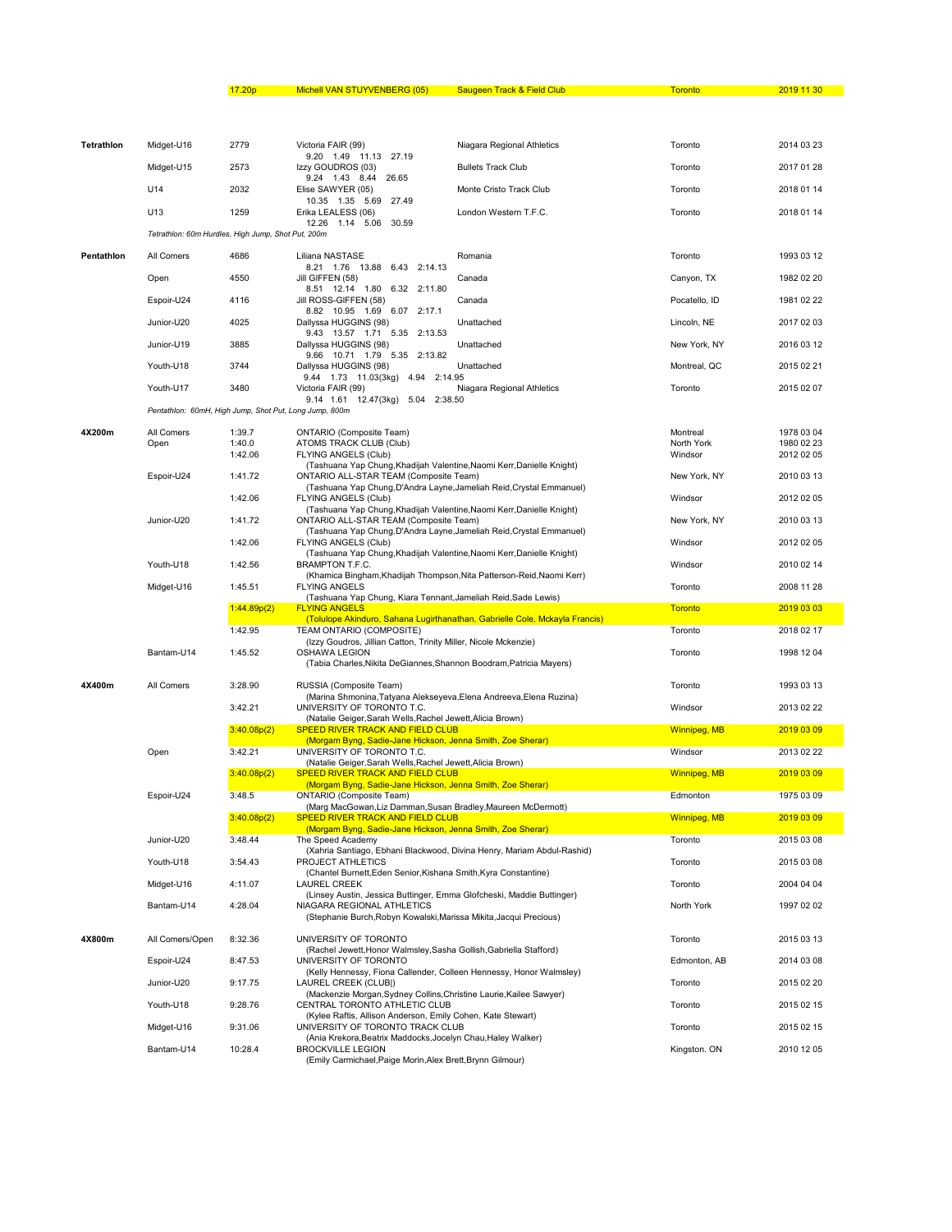## 17.20p Michell VAN STUYVENBERG (05) Saugeen Track & Field Club Toronto 2019 11 30

| Tetrathlon | Midget-U16                                             | 2779              | Victoria FAIR (99)<br>9.20 1.49 11.13 27.19                                                                     | Niagara Regional Athletics                                                  | Toronto               | 2014 03 23               |
|------------|--------------------------------------------------------|-------------------|-----------------------------------------------------------------------------------------------------------------|-----------------------------------------------------------------------------|-----------------------|--------------------------|
|            | Midget-U15                                             | 2573              | Izzy GOUDROS (03)                                                                                               | <b>Bullets Track Club</b>                                                   | Toronto               | 2017 01 28               |
|            | U14                                                    | 2032              | 9.24 1.43 8.44 26.65<br>Elise SAWYER (05)                                                                       | Monte Cristo Track Club                                                     | Toronto               | 2018 01 14               |
|            | U13                                                    | 1259              | 10.35  1.35  5.69  27.49<br>Erika LEALESS (06)                                                                  | London Western T.F.C.                                                       | Toronto               | 2018 01 14               |
|            | Tetrathlon: 60m Hurdles, High Jump, Shot Put, 200m     |                   | 12.26  1.14  5.06  30.59                                                                                        |                                                                             |                       |                          |
| Pentathlon | All Comers                                             | 4686              | Liliana NASTASE                                                                                                 | Romania                                                                     | Toronto               | 1993 03 12               |
|            | Open                                                   | 4550              | 8.21 1.76 13.88 6.43 2:14.13<br>Jill GIFFEN (58)                                                                | Canada                                                                      | Canyon, TX            | 1982 02 20               |
|            |                                                        |                   | 8.51  12.14  1.80  6.32  2:11.80                                                                                |                                                                             |                       |                          |
|            | Espoir-U24                                             | 4116              | Jill ROSS-GIFFEN (58)<br>8.82 10.95 1.69 6.07 2:17.1                                                            | Canada                                                                      | Pocatello, ID         | 1981 02 22               |
|            | Junior-U20                                             | 4025              | Dallyssa HUGGINS (98)<br>9.43 13.57 1.71 5.35 2:13.53                                                           | Unattached                                                                  | Lincoln, NE           | 2017 02 03               |
|            | Junior-U19                                             | 3885              | Dallyssa HUGGINS (98)<br>9.66 10.71 1.79 5.35 2:13.82                                                           | Unattached                                                                  | New York, NY          | 2016 03 12               |
|            | Youth-U18                                              | 3744              | Dallyssa HUGGINS (98)<br>9.44 1.73 11.03(3kg) 4.94 2:14.95                                                      | Unattached                                                                  | Montreal, QC          | 2015 02 21               |
|            | Youth-U17                                              | 3480              | Victoria FAIR (99)<br>9.14 1.61 12.47(3kg) 5.04 2:38.50                                                         | Niagara Regional Athletics                                                  | Toronto               | 2015 02 07               |
|            | Pentathlon: 60mH, High Jump, Shot Put, Long Jump, 800m |                   |                                                                                                                 |                                                                             |                       |                          |
| 4X200m     | All Comers                                             | 1:39.7            | <b>ONTARIO</b> (Composite Team)                                                                                 |                                                                             | Montreal              | 1978 03 04               |
|            | Open                                                   | 1:40.0<br>1:42.06 | ATOMS TRACK CLUB (Club)<br>FLYING ANGELS (Club)                                                                 |                                                                             | North York<br>Windsor | 1980 02 23<br>2012 02 05 |
|            |                                                        |                   | (Tashuana Yap Chung, Khadijah Valentine, Naomi Kerr, Danielle Knight)                                           |                                                                             |                       |                          |
|            | Espoir-U24                                             | 1:41.72           | ONTARIO ALL-STAR TEAM (Composite Team)<br>(Tashuana Yap Chung, D'Andra Layne, Jameliah Reid, Crystal Emmanuel)  |                                                                             | New York, NY          | 2010 03 13               |
|            |                                                        | 1:42.06           | <b>FLYING ANGELS (Club)</b>                                                                                     |                                                                             | Windsor               | 2012 02 05               |
|            | Junior-U20                                             | 1:41.72           | (Tashuana Yap Chung, Khadijah Valentine, Naomi Kerr, Danielle Knight)<br>ONTARIO ALL-STAR TEAM (Composite Team) |                                                                             | New York, NY          | 2010 03 13               |
|            |                                                        | 1:42.06           | (Tashuana Yap Chung, D'Andra Layne, Jameliah Reid, Crystal Emmanuel)<br><b>FLYING ANGELS (Club)</b>             |                                                                             | Windsor               | 2012 02 05               |
|            |                                                        |                   | (Tashuana Yap Chung, Khadijah Valentine, Naomi Kerr, Danielle Knight)                                           |                                                                             |                       |                          |
|            | Youth-U18                                              | 1:42.56           | <b>BRAMPTON T.F.C.</b><br>(Khamica Bingham, Khadijah Thompson, Nita Patterson-Reid, Naomi Kerr)                 |                                                                             | Windsor               | 2010 02 14               |
|            | Midget-U16                                             | 1:45.51           | <b>FLYING ANGELS</b><br>(Tashuana Yap Chung, Kiara Tennant, Jameliah Reid, Sade Lewis)                          |                                                                             | Toronto               | 2008 11 28               |
|            |                                                        | 1:44.89p(2)       | <b>FLYING ANGELS</b>                                                                                            | (Tolulope Akinduro, Sahana Lugirthanathan, Gabrielle Cole, Mckayla Francis) | <b>Toronto</b>        | 2019 03 03               |
|            |                                                        | 1:42.95           | TEAM ONTARIO (COMPOSITE)                                                                                        |                                                                             | Toronto               | 2018 02 17               |
|            | Bantam-U14                                             | 1:45.52           | (Izzy Goudros, Jillian Catton, Trinity Miller, Nicole Mckenzie)<br>OSHAWA LEGION                                |                                                                             | Toronto               | 1998 12 04               |
|            |                                                        |                   | (Tabia Charles, Nikita DeGiannes, Shannon Boodram, Patricia Mayers)                                             |                                                                             |                       |                          |
| 4X400m     | All Comers                                             | 3:28.90           | RUSSIA (Composite Team)                                                                                         |                                                                             | Toronto               | 1993 03 13               |
|            |                                                        | 3:42.21           | (Marina Shmonina, Tatyana Alekseyeva, Elena Andreeva, Elena Ruzina)<br>UNIVERSITY OF TORONTO T.C.               |                                                                             | Windsor               | 2013 02 22               |
|            |                                                        | 3:40.08p(2)       | (Natalie Geiger, Sarah Wells, Rachel Jewett, Alicia Brown)<br><b>SPEED RIVER TRACK AND FIELD CLUB</b>           |                                                                             | <b>Winnipeg, MB</b>   | 2019 03 09               |
|            |                                                        |                   | (Morgam Byng, Sadie-Jane Hickson, Jenna Smith, Zoe Sherar)                                                      |                                                                             |                       |                          |
|            | Open                                                   | 3:42.21           | UNIVERSITY OF TORONTO T.C.<br>(Natalie Geiger, Sarah Wells, Rachel Jewett, Alicia Brown)                        |                                                                             | Windsor               | 2013 02 22               |
|            |                                                        | 3:40.08p(2)       | <b>SPEED RIVER TRACK AND FIELD CLUB</b><br>(Morgam Byng, Sadie-Jane Hickson, Jenna Smith, Zoe Sherar)           |                                                                             | <b>Winnipeg, MB</b>   | 2019 03 09               |
|            | Espoir-U24                                             | 3:48.5            | <b>ONTARIO</b> (Composite Team)                                                                                 |                                                                             | Edmonton              | 1975 03 09               |
|            |                                                        | 3:40.08p(2)       | (Marg MacGowan, Liz Damman, Susan Bradley, Maureen McDermott)<br><b>SPEED RIVER TRACK AND FIELD CLUB</b>        |                                                                             | <b>Winnipeg, MB</b>   | 2019 03 09               |
|            | Junior-U20                                             | 3:48.44           | (Morgam Byng, Sadie-Jane Hickson, Jenna Smith, Zoe Sherar)<br>The Speed Academy                                 |                                                                             | Toronto               | 2015 03 08               |
|            |                                                        |                   |                                                                                                                 | (Xahria Santiago, Ebhani Blackwood, Divina Henry, Mariam Abdul-Rashid)      |                       |                          |
|            | Youth-U18                                              | 3:54.43           | PROJECT ATHLETICS<br>(Chantel Burnett, Eden Senior, Kishana Smith, Kyra Constantine)                            |                                                                             | Toronto               | 2015 03 08               |
|            | Midget-U16                                             | 4:11.07           | <b>LAUREL CREEK</b><br>(Linsey Austin, Jessica Buttinger, Emma Glofcheski, Maddie Buttinger)                    |                                                                             | Toronto               | 2004 04 04               |
|            | Bantam-U14                                             | 4:28.04           | NIAGARA REGIONAL ATHLETICS<br>(Stephanie Burch, Robyn Kowalski, Marissa Mikita, Jacqui Precious)                |                                                                             | North York            | 1997 02 02               |
| 4X800m     | All Comers/Open                                        | 8:32.36           | UNIVERSITY OF TORONTO                                                                                           |                                                                             | Toronto               | 2015 03 13               |
|            | Espoir-U24                                             | 8:47.53           | (Rachel Jewett, Honor Walmsley, Sasha Gollish, Gabriella Stafford)<br>UNIVERSITY OF TORONTO                     |                                                                             | Edmonton, AB          | 2014 03 08               |
|            | Junior-U20                                             | 9:17.75           | (Kelly Hennessy, Fiona Callender, Colleen Hennessy, Honor Walmsley)<br>LAUREL CREEK (CLUB)                      |                                                                             | Toronto               | 2015 02 20               |
|            |                                                        |                   |                                                                                                                 |                                                                             |                       |                          |
|            |                                                        |                   | (Mackenzie Morgan, Sydney Collins, Christine Laurie, Kailee Sawyer)                                             |                                                                             |                       |                          |
|            | Youth-U18                                              | 9:28.76           | CENTRAL TORONTO ATHLETIC CLUB<br>(Kylee Raftis, Allison Anderson, Emily Cohen, Kate Stewart)                    |                                                                             | Toronto               | 2015 02 15               |
|            | Midget-U16                                             | 9:31.06           | UNIVERSITY OF TORONTO TRACK CLUB<br>(Ania Krekora, Beatrix Maddocks, Jocelyn Chau, Haley Walker)                |                                                                             | Toronto               | 2015 02 15               |
|            | Bantam-U14                                             | 10:28.4           | <b>BROCKVILLE LEGION</b><br>(Emily Carmichael, Paige Morin, Alex Brett, Brynn Gilmour)                          |                                                                             | Kingston. ON          | 2010 12 05               |